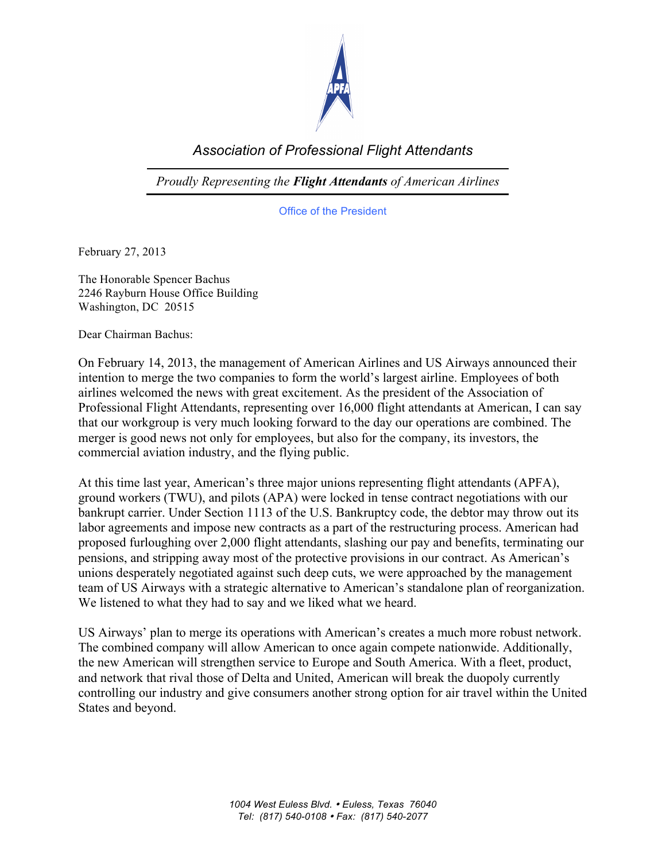

## *Association of Professional Flight Attendants*

*Proudly Representing the Flight Attendants of American Airlines*

Office of the President

February 27, 2013

The Honorable Spencer Bachus 2246 Rayburn House Office Building Washington, DC 20515

Dear Chairman Bachus:

On February 14, 2013, the management of American Airlines and US Airways announced their intention to merge the two companies to form the world's largest airline. Employees of both airlines welcomed the news with great excitement. As the president of the Association of Professional Flight Attendants, representing over 16,000 flight attendants at American, I can say that our workgroup is very much looking forward to the day our operations are combined. The merger is good news not only for employees, but also for the company, its investors, the commercial aviation industry, and the flying public.

At this time last year, American's three major unions representing flight attendants (APFA), ground workers (TWU), and pilots (APA) were locked in tense contract negotiations with our bankrupt carrier. Under Section 1113 of the U.S. Bankruptcy code, the debtor may throw out its labor agreements and impose new contracts as a part of the restructuring process. American had proposed furloughing over 2,000 flight attendants, slashing our pay and benefits, terminating our pensions, and stripping away most of the protective provisions in our contract. As American's unions desperately negotiated against such deep cuts, we were approached by the management team of US Airways with a strategic alternative to American's standalone plan of reorganization. We listened to what they had to say and we liked what we heard.

US Airways' plan to merge its operations with American's creates a much more robust network. The combined company will allow American to once again compete nationwide. Additionally, the new American will strengthen service to Europe and South America. With a fleet, product, and network that rival those of Delta and United, American will break the duopoly currently controlling our industry and give consumers another strong option for air travel within the United States and beyond.